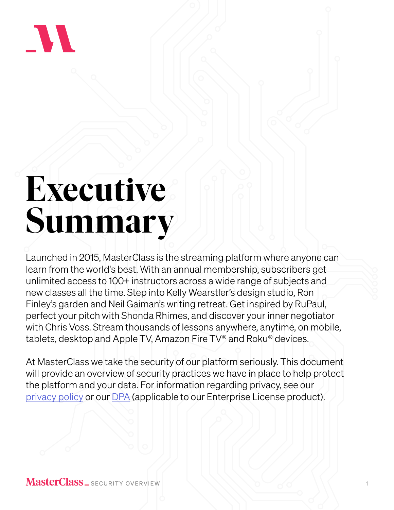

# **Executive Summary**

Launched in 2015, MasterClass is the streaming platform where anyone can learn from the world's best. With an annual membership, subscribers get unlimited access to 100+ instructors across a wide range of subjects and new classes all the time. Step into Kelly Wearstler's design studio, Ron Finley's garden and Neil Gaiman's writing retreat. Get inspired by RuPaul, perfect your pitch with Shonda Rhimes, and discover your inner negotiator with Chris Voss. Stream thousands of lessons anywhere, anytime, on mobile, tablets, desktop and Apple TV, Amazon Fire TV® and Roku® devices.

At MasterClass we take the security of our platform seriously. This document will provide an overview of security practices we have in place to help protect the platform and your data. For information regarding privacy, see our [privacy policy](https://privacy.masterclass.com/policies) or our [DPA](https://www.masterclass.com/enterprise-dpa) (applicable to our Enterprise License product).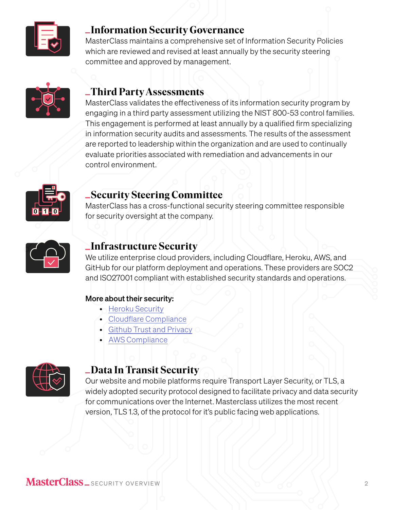

## **Information Security Governance**

MasterClass maintains a comprehensive set of Information Security Policies which are reviewed and revised at least annually by the security steering committee and approved by management.



### **Third Party Assessments**

MasterClass validates the effectiveness of its information security program by engaging in a third party assessment utilizing the NIST 800-53 control families. This engagement is performed at least annually by a qualified firm specializing in information security audits and assessments. The results of the assessment are reported to leadership within the organization and are used to continually evaluate priorities associated with remediation and advancements in our control environment.



## **Security Steering Committee**

MasterClass has a cross-functional security steering committee responsible for security oversight at the company.



## **Infrastructure Security**

We utilize enterprise cloud providers, including Cloudflare, Heroku, AWS, and GitHub for our platform deployment and operations. These providers are SOC2 and ISO27001 compliant with established security standards and operations.

#### More about their security:

- [Heroku Security](https://www.heroku.com/policy/security)
- [Cloudflare Compliance](https://www.cloudflare.com/trust-hub/technologies/)
- [Github Trust and Privacy](https://github.com/security)
- [AWS Compliance](https://aws.amazon.com/compliance/)



## **Data In Transit Security**

Our website and mobile platforms require Transport Layer Security, or TLS, a widely adopted security protocol designed to facilitate privacy and data security for communications over the Internet. Masterclass utilizes the most recent version, TLS 1.3, of the protocol for it's public facing web applications.